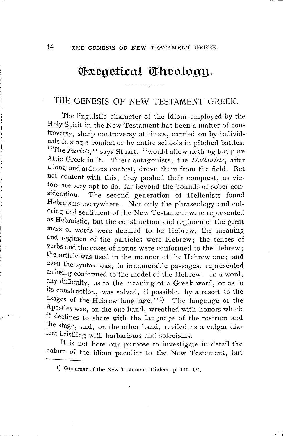## **Exegetical Theology.**

## THE GENESIS OF NEW TESTAMENT GREEK.

The linguistic character of the idiom employed by the Holy Spirit in the New Testament has been a matter of controversy, sharp controversy at times, carried on by individuals in single cornbat or by entire schools in pitched battles. "The *Purists*," says Stuart, "would allow nothing but pure Attic Greek in it. Their antagonists, the *Hellenists*, after a long and arduous contest, drove them from the field. But not content with this, they pushed their conquest, as victors are very apt to do, far beyond the bounds of sober con-<br>sideration. The second generation of Hellenists found The second generation of Hellenists found Hebraisms everywhere. Not only the phraseology and coloring and sentiment of the New 'l'estament were represented as Hebraistic, but the construction and regimen of the great mass of words were deemed to be Hebrew, the meaning and regimen of the particles were Hebrew; the tenses of verbs and the cases of nouns were conformed to the Hebrew; the article was used in the manner of the Hebrew one; and even the syntax was, in innumerable passages, represented as being conformed to the model of the Hebrew. In a word, any difficulty, as to the meaning of a Greek word, or as to its construction, was solved, if possible, by a resort to the usages of the Hebrew language."<sup>1</sup>) The language of the Apostles was, on the one hand, wreathed with honors which It declines to share with the language of the rostrum and the stage, and, on the other hand, reviled as a vulgar dialect bristling with barbarisms and solecisms.

lt is not here our purpose to investigate in detail the nature of the idiom peculiar to the New Testament, but

<sup>1)</sup> Grammar of the New 'l'estament Dialect, p. III. IV.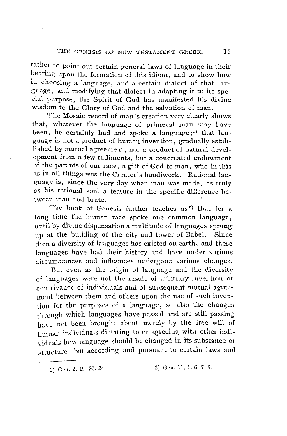rather to point out certain general laws of language in their beariug upon the formation of this idiom, and to show how in choosing a language, and a certain dialect of that language, and modifying that dialect in adapting it to its special purpose, the Spirit of God has manifested his divine wisdom to the Glory of God and the salvation of man.

'I'he Mosaic record of man 's creation very clearly shows that, whatever the language of primeval man may have been, he certainly had and spoke a language;<sup>1)</sup> that language is not a product of human invention, gradually established by mutual agreemeut, nor a product of natural development from a few rudiments, but a concreated endowment of the parents of our race, a gift of God to man, who in this as in all things was the Creator's handiwork. Rational language is, since the very day wheu man was made, as truly as his rational soul a feature in the specific difference between man and brute. '

The book of Genesis further teaches us<sup>2</sup>) that for a long time the human race spoke one common language, until by divine dispensation a multitude of languages sprung up at the huilding of the city and tower of Babel. Since then a diversity of languages has existed on earth, and these languages have had their history and have under various circumstances and influences undergone various changes.

But even as the origin of language and the diversity of languages were not tbe result of arbitrary inveution or contrivance of individuals and of subsequent mutual agreement between them and others upon the nse of such invention for the purposes of a language, so also the changes through which languages have passed and are still passing have not been brought about merely by the free will of human individuals dictating to or agreeing with other individnals how language should be changed in its substance or structure, but according and pursuant to certain laws and

<sup>1)</sup> Gen. 2, 19. 20. 24. 2) Gen, 11, 1. 6. *7,* 9.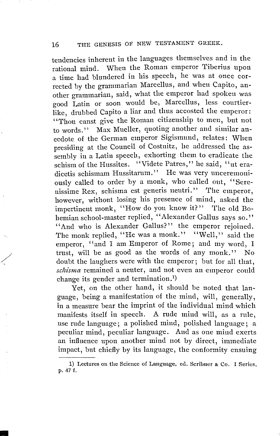## 16 THE GENESIS OF NEW TESTAMENT GREEK.

tendencies inherent in the languages themselves and in the rational mind. When the Roman emperor Tiberius upon a time had blundered in his speech, he was at once corrected by the grannnarian Marcellus, and wheu Capito, another grammarian, said, what the emperor had spokeu was good Latin or soon would be, Marcellus, less courtierlike, drubbed Capito a liar and thus accosted the empcror: "Thou canst give the Roman citizenship to men, but not to words." Max Mueller, quoting another and similar anecdote of the German emperor Sigismund, relates: When presiding at the Council of Costnitz, he addressed the assembly in a Latin speech, exhorting them to eradicate the schism of the Hussites. "Videte Patres," he said, "ut eradicetis schismam Hussitarum. '' He was very unceremoniously called to order by a monk, who called out, "Serenissime Rex, schisma est generis neutri." The emperor, however, without losing his presence of mind, asked the impertinent monk, ''How do you know it? '' The old Bohemian school-master replied, "Alexander Gallus says so." "And who is Alexander Gallus?" the emperor rejoined. The monk replied, "He was a monk." "Well," said the emperor, "and I am Emperor of Rome; and my word, I trust, will be as good as the words of any monk." No doubt the laughers were with the emperor; but for all that, schisma remained a neuter, and not even an emperor could change its gender and termination.<sup>1</sup>)

Yet, on the other hand, it should be noted that language, being a manifestation of the mind, will, generally, in a measure bear the imprint of the individual mind which manifests itself in speech. A rude mind will, as a rnle, use rude language; a polished mind, polished language; a peculiar mind, peculiar language. And as one mind exerts an influence upon another mind not by direct, immediate impact, but chiefly by its language, the conformity ensuing

 $\overline{\mathcal{L}}$ 

<sup>1)</sup> Lectures on the Science of Language, ed. Scribuer & Co. I Series, p. 47 f.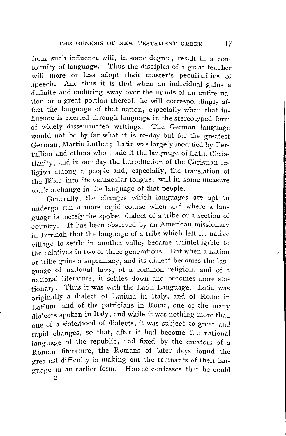from such influence will, in some degree, result in a conformity of language. Thus the disciples of a great teacher will more or less adopt their master's peculiarities of speech. And thus it is that when an individual gains a definite and enduring sway over the minds of an entire nation or a great portion thereof, he will correspondingly affect the langnage of that nation, especially when that influence is exerted through langnage in the stereotyped form of widely disseminated writings. The Gennan language would not be by far what it is to-day but for the greatest German, Martin Luther; Latin was largely modified by 'l'ertnllian and others who made it the langnage of Latin Christianity, and in our day the introduction of the Christian religion among a people and, especially, the translation of the Bible into its vernacular tongne, will in some measure work a change in the language of that people.

Generally, the changes which languages are apt to undergo run a more rapid course when and where a language is merely the spoken dialect of a tribe or a section of country. lt has been observed by an American missionary in Burmah that the language of a tribe which left its native village to settle in another valley became unintelligible to the relatives in two or three generations. But when a nation or tribe gains a snpremacy, and its dialect becomes the language of national laws, of a common religion, and of a national literature, it settles down and becomes more stationary. Thus it was with the Latin Language. Latin was originally a dialect of Latium in Italy, and of Rome in Latium, and of the patricians in Rome, one of the many dialects spoken in Italy, and while it was nothing more thau one of a sisterhood of dialects, it was subject to great and rapid changes, so that, after it had become the national language of the republic, and fixed by the creators of a Roman literature, the Romans of later days found the oreatest difficulty in making out the remnants of their language in an earlier form. Horace confesses t1iat he could 2

 $\sqrt{1}$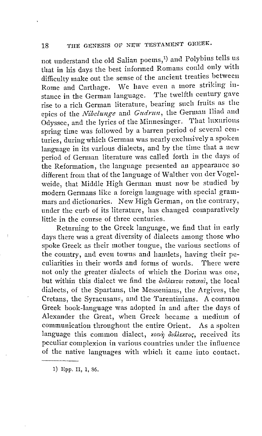not understand the old Salian poems, 1 ) and Polybius tells us that in his days the best informed Romans could only with difficulty rnake out the sense of the ancient treaties between Rome and Carthage. We have even a more striking in-<br>stance in the German language. The twelfth century gave stance in the German language. rise to a rich Gennan literature, bearing such frnits as the epics of the *Nibelunge* and *Gudrun*, the German Iliad and Odyssee, and the lyrics of the Minnesinger. That luxurious spring time was followed by a barren period of scveral centuries, duringwhich German was nearly exclusively a spoken language in its various dialects, and by the time that a new period of Gennan literature was called forth in the days of the Reformation, the language prcsented an appearance so different from that of the language of Walther von der Vogelweide, that Middle High Gennan must now be studied by modern Gennans like a foreign language with special grammars and dictionaries. New High German, on the contrary, under the curb of its literature, has changed comparatively little in the conrse of three centuries.

Returning to the Greek language, we find that in early days there was a great diversity of dialects among those who spoke Greek as their mother tongue, the various sections of the country, and even towns and hamlets, having their peculiarities in their words and forms of words. There were not only the greater dialects of which the Dorian was one, but within this dialect we find the  $\partial_i d\lambda$ *extor tonixal*, the local dialects, of the Spartaus, the Messenians, the Argives, the Cretans, the Syracusans, and the Tarentinians. A common Greek book-language was adopted in and after the days of Alexander the Great, when Greek became a medium of communication throughont the entire Orient. As a spoken language this common dialect, *xotvn didlextos*, received its peculiar complexion in various countries under the influence of the native languages with which it came iuto contact.

1) Epp. II, 1, 86.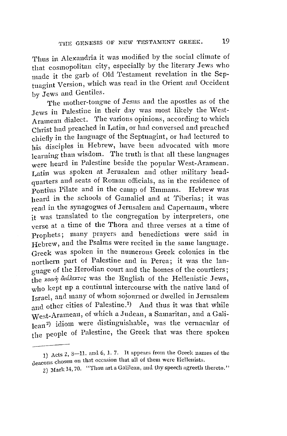Thus in Alexandria it was modified by the social climate of that cosmopolitan city, especially by the literary Jews who made it the garb of Old Testament revelation in the Septuagint Version, which was read in the Orient and Occident by Jews and Gentiles.

The mother-tongue of Jesus and the apostles as of the Jews in Palestine in their day was most likely the West-Aramean dialect. The various opinions, according to which Christ bad preached in Latin, or had conversed and preached chiefly in the langnage of the Septuagint, or had lectured to his disciples in Hebrew, have been advocated with more learning than wisdom. The truth is that all these languages were heard in Palestine beside the popular West-Aramean. Latin was spoken at Jerusalem and other military headquarters aud seats of Roman officials, as in the residence of Pontius Pilate and in the camp of Emmans. Hebrew was heard in the schools of Gamaliel and at Tiberias; it was read in the synagogues of Jerusalem and Capernaum, where it was translated to the congregation by interpreters, one verse at a time of the Thora and three verses at a time of Prophets; many prayers and henedictions were said in Hebrew, and the Psalms were recited in the same language. Greek was spoken in the numerous Greek colonies in tbe northern part of Palestine and in Perea; it was the language of the Herodian court and the homes of the courtiers; the *xotvr; diddextoc* was the English of the Hellenistic Jews, who kept up a continual intercourse with the native land of Israel, and many of whom sojourned or dwelled in Jerusalem and other cities of Palestine.<sup>1</sup>) And thus it was that while West-Arameau, of which a Jndean, a Samaritan, and a Galilean<sup>2</sup>) idiom were distinguishable, was the vernacular of the people of Palestine, the Greek that was there spoken

<sup>1)</sup> Acts 2, 8-11. and 6, 1. 7. It appears from the Greek names of the deacons chosen on that occasion that all of them were Hellenists.

<sup>2)</sup> Mark 14, 70. "Thou art a Galilean, and thy speech agreeth thereto."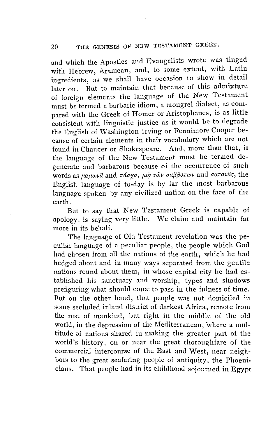and which the Apostles and Evangelists wrote was tinged with Hebrew, Aramean, and, to some extent, with Latin ingredients, as we shall have occasion to show in detail later on. But to maintain that because of this admixture of foreign elements the language of the New Testament must be termed a barbaric idiom, a mongrel dialect, as compared with the Greek of Homer or Aristophanes, is as little consistent with linguistic justice as it would be to degrade the English of Washington Irving or Fennimore Cooper because of certain elements in their vocabulary which are not found in Chaucer or Shakespeare. And, more than that, if the language of the New Testament must be termed degenerate and barbarous because of the occurrence of such words as μαμωνᾶ and πάσχα, μφ τῶν σαββάτων and σατανᾶς, the English language of to-day is by far the most barbarous language spoken by any civilized nation on the face of the earth.

But to say that New Testament Greek is capable of apology, is saying very little. We claim and maintain far more in its behalf.

The language of Old Testament revelation was the peculiar language of a peculiar people, the people which God had chosen from all the nations of the earth, which he had hedged about and in many ways separated from the gentile nations ronnd about them, in whose capital city he had established his sanctuary and worship, types and shadows prefiguring what should come to pass in the fttlness of time. But on the other hand, tliat people was not domiciled in some seclnded inland district of darkest Africa, remote from the rest of mankind, but right in the middle of the old world, in the depression of the Mediterranean, where a multitude of nations shared in making the greater part of the world's history, on or near the great thoroughfare of the commercial intercourse of the East and West, near neighbors to the great seafaring people of antiquity, the Phoeniciaus. 'l'hat people had in its childhood sojourned in Egypt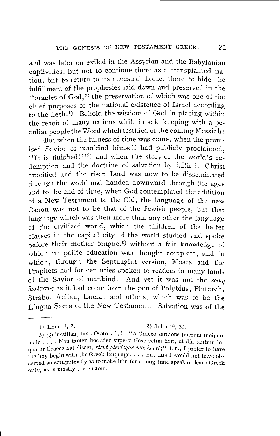and was later on exiled in the Assyrian and the Babylonian captivities, but not to continue there as a transplanted nation, but to return to its ancestral home, there to bide the fulfillment of the prophesies laid down and preserved in the ''oracles of God,'' the preservation of which was one of the chief purposes of the national existence of Israel according to the flesh. 1) Behold the wisdom of God in placing within the reach of many nations while in safe keeping with a peculiar people the Word which testified of the coming Messiah !

But when the fulness of time was come, when the promised Savior of mankind himself had publicly proclaimed. "It is finished!"<sup>2</sup>) and when the story of the world's redemption and the doctrine of salvation by faith in Christ crucified and the risen Lord was now to be disseminated through the world and handed downward through the ages and to the end of time, when God contemplated the addition of a New Testament to the Old, the language of the new Canon was not to be tliat of the Jewish people, but that language which was then more than any other the language of the civilized world, which the children of the better classes in the capital city of the world studied and spoke before their mother tongue,<sup>3</sup> without a fair knowledge of which no polite education was thought complete, and in which, through the Septuagint version, Moses and the Prophets had for centuries spoken to readers in many lands of the Savior of mankind. And yet it was not the  $x_0y_n$ *öcdAexrot;* as it had come from the pen of Polybius, Plutarch, Strabo, Aelian, Lucian and others, which was to be the Lingua Sacra of the New 'l'estameut. Salvation was of the

3) Quinctilian, Inst. Orator. 1, 1: ''A Graeco sermone pnerum iucipere malo .... Non tamen hoc adeo snperstitiose velim fieri, ut din tantum Joquatur Graece aut discat, *sicut plerisque moris est*;" i. e., I prefer to have the boy begin with the Greek language. . . . But this I would not have observed so scrupulously as to make liim for a loug time speak or learu Greek only, as is mostly the cnstom.

<sup>1)</sup> Rom. 3, 2. 2) John 19, 30.